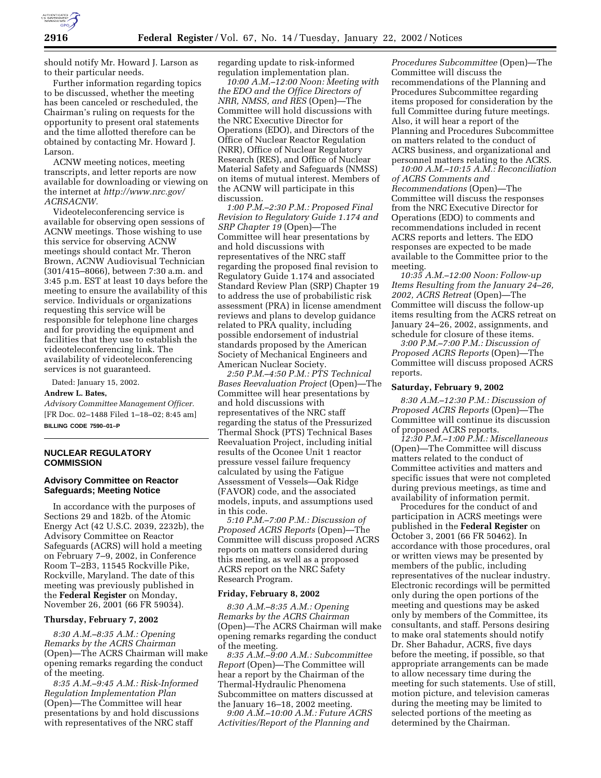

should notify Mr. Howard J. Larson as to their particular needs.

Further information regarding topics to be discussed, whether the meeting has been canceled or rescheduled, the Chairman's ruling on requests for the opportunity to present oral statements and the time allotted therefore can be obtained by contacting Mr. Howard J. Larson.

ACNW meeting notices, meeting transcripts, and letter reports are now available for downloading or viewing on the internet at *http://www.nrc.gov/ ACRSACNW.*

Videoteleconferencing service is available for observing open sessions of ACNW meetings. Those wishing to use this service for observing ACNW meetings should contact Mr. Theron Brown, ACNW Audiovisual Technician (301/415–8066), between 7:30 a.m. and 3:45 p.m. EST at least 10 days before the meeting to ensure the availability of this service. Individuals or organizations requesting this service will be responsible for telephone line charges and for providing the equipment and facilities that they use to establish the videoteleconferencing link. The availability of videoteleconferencing services is not guaranteed.

Dated: January 15, 2002.

## **Andrew L. Bates,**

*Advisory Committee Management Officer.* [FR Doc. 02–1488 Filed 1–18–02; 8:45 am] **BILLING CODE 7590–01–P**

# **NUCLEAR REGULATORY COMMISSION**

# **Advisory Committee on Reactor Safeguards; Meeting Notice**

In accordance with the purposes of Sections 29 and 182b. of the Atomic Energy Act (42 U.S.C. 2039, 2232b), the Advisory Committee on Reactor Safeguards (ACRS) will hold a meeting on February 7–9, 2002, in Conference Room T–2B3, 11545 Rockville Pike, Rockville, Maryland. The date of this meeting was previously published in the **Federal Register** on Monday, November 26, 2001 (66 FR 59034).

### **Thursday, February 7, 2002**

*8:30 A.M.–8:35 A.M.: Opening Remarks by the ACRS Chairman* (Open)—The ACRS Chairman will make opening remarks regarding the conduct of the meeting.

*8:35 A.M.–9:45 A.M.: Risk-Informed Regulation Implementation Plan* (Open)—The Committee will hear presentations by and hold discussions with representatives of the NRC staff

regarding update to risk-informed regulation implementation plan.

*10:00 A.M.–12:00 Noon: Meeting with the EDO and the Office Directors of NRR, NMSS, and RES* (Open)—The Committee will hold discussions with the NRC Executive Director for Operations (EDO), and Directors of the Office of Nuclear Reactor Regulation (NRR), Office of Nuclear Regulatory Research (RES), and Office of Nuclear Material Safety and Safeguards (NMSS) on items of mutual interest. Members of the ACNW will participate in this discussion.

*1:00 P.M.–2:30 P.M.: Proposed Final Revision to Regulatory Guide 1.174 and SRP Chapter 19* (Open)—The Committee will hear presentations by and hold discussions with representatives of the NRC staff regarding the proposed final revision to Regulatory Guide 1.174 and associated Standard Review Plan (SRP) Chapter 19 to address the use of probabilistic risk assessment (PRA) in license amendment reviews and plans to develop guidance related to PRA quality, including possible endorsement of industrial standards proposed by the American Society of Mechanical Engineers and American Nuclear Society.

*2:50 P.M.–4:50 P.M.: PTS Technical Bases Reevaluation Project* (Open)—The Committee will hear presentations by and hold discussions with representatives of the NRC staff regarding the status of the Pressurized Thermal Shock (PTS) Technical Bases Reevaluation Project, including initial results of the Oconee Unit 1 reactor pressure vessel failure frequency calculated by using the Fatigue Assessment of Vessels—Oak Ridge (FAVOR) code, and the associated models, inputs, and assumptions used in this code.

*5:10 P.M.–7:00 P.M.: Discussion of Proposed ACRS Reports* (Open)—The Committee will discuss proposed ACRS reports on matters considered during this meeting, as well as a proposed ACRS report on the NRC Safety Research Program.

### **Friday, February 8, 2002**

*8:30 A.M.–8:35 A.M.: Opening Remarks by the ACRS Chairman* (Open)—The ACRS Chairman will make opening remarks regarding the conduct of the meeting.

*8:35 A.M.–9:00 A.M.: Subcommittee Report* (Open)—The Committee will hear a report by the Chairman of the Thermal-Hydraulic Phenomena Subcommittee on matters discussed at the January 16–18, 2002 meeting.

*9:00 A.M.–10:00 A.M.: Future ACRS Activities/Report of the Planning and*

*Procedures Subcommittee* (Open)—The Committee will discuss the recommendations of the Planning and Procedures Subcommittee regarding items proposed for consideration by the full Committee during future meetings. Also, it will hear a report of the Planning and Procedures Subcommittee on matters related to the conduct of ACRS business, and organizational and personnel matters relating to the ACRS.

*10:00 A.M.–10:15 A.M.: Reconciliation of ACRS Comments and Recommendations* (Open)—The Committee will discuss the responses from the NRC Executive Director for Operations (EDO) to comments and recommendations included in recent ACRS reports and letters. The EDO responses are expected to be made available to the Committee prior to the meeting.

*10:35 A.M.–12:00 Noon: Follow-up Items Resulting from the January 24–26, 2002, ACRS Retreat* (Open)—The Committee will discuss the follow-up items resulting from the ACRS retreat on January 24–26, 2002, assignments, and schedule for closure of these items.

*3:00 P.M.–7:00 P.M.: Discussion of Proposed ACRS Reports* (Open)—The Committee will discuss proposed ACRS reports.

### **Saturday, February 9, 2002**

*8:30 A.M.–12:30 P.M.: Discussion of Proposed ACRS Reports* (Open)—The Committee will continue its discussion of proposed ACRS reports.

*12:30 P.M.–1:00 P.M.: Miscellaneous* (Open)—The Committee will discuss matters related to the conduct of Committee activities and matters and specific issues that were not completed during previous meetings, as time and availability of information permit.

Procedures for the conduct of and participation in ACRS meetings were published in the **Federal Register** on October 3, 2001 (66 FR 50462). In accordance with those procedures, oral or written views may be presented by members of the public, including representatives of the nuclear industry. Electronic recordings will be permitted only during the open portions of the meeting and questions may be asked only by members of the Committee, its consultants, and staff. Persons desiring to make oral statements should notify Dr. Sher Bahadur, ACRS, five days before the meeting, if possible, so that appropriate arrangements can be made to allow necessary time during the meeting for such statements. Use of still, motion picture, and television cameras during the meeting may be limited to selected portions of the meeting as determined by the Chairman.